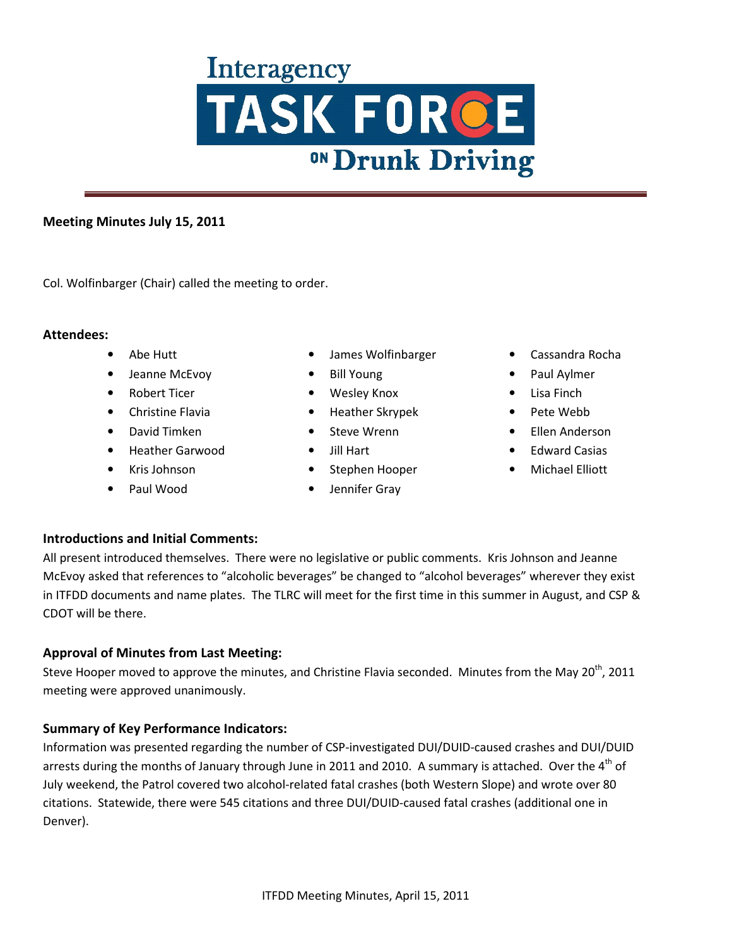### **Meeting Minutes July 15, 2011**

Col. Wolfinbarger (Chair) called the meeting to order.

#### **Attendees:**

- Abe Hutt
- Jeanne McEvoy
- Robert Ticer
- Christine Flavia
- David Timken
- Heather Garwood
- Kris Johnson
- Paul Wood
- James Wolfinbarger
- Bill Young
- Wesley Knox
- Heather Skrypek
- Steve Wrenn
- Jill Hart
- Stephen Hooper
- Jennifer Gray
- Cassandra Rocha
- Paul Aylmer
- Lisa Finch
- Pete Webb
- Ellen Anderson
- Edward Casias
- Michael Elliott

#### **Introductions and Initial Comments:**

All present introduced themselves. There were no legislative or public comments. Kris Johnson and Jeanne McEvoy asked that references to "alcoholic beverages" be changed to "alcohol beverages" wherever they exist in ITFDD documents and name plates. The TLRC will meet for the first time in this summer in August, and CSP & CDOT will be there.

#### **Approval of Minutes from Last Meeting:**

Steve Hooper moved to approve the minutes, and Christine Flavia seconded. Minutes from the May 20<sup>th</sup>, 2011 meeting were approved unanimously.

#### **Summary of Key Performance Indicators:**

Information was presented regarding the number of CSP-investigated DUI/DUID-caused crashes and DUI/DUID arrests during the months of January through June in 2011 and 2010. A summary is attached. Over the 4<sup>th</sup> of July weekend, the Patrol covered two alcohol-related fatal crashes (both Western Slope) and wrote over 80 citations. Statewide, there were 545 citations and three DUI/DUID-caused fatal crashes (additional one in Denver).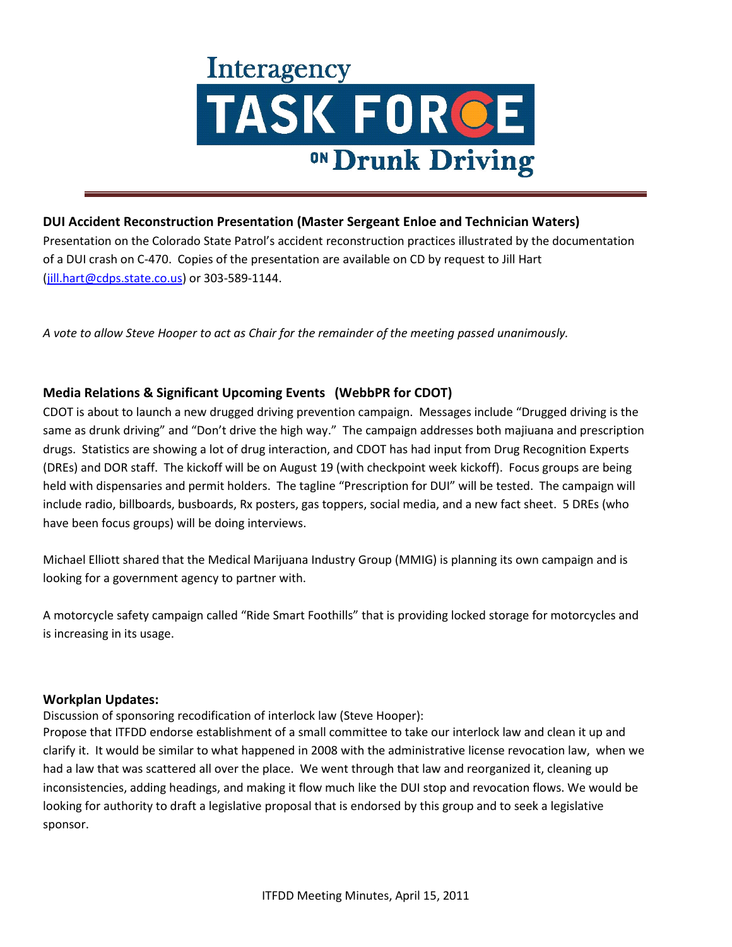

#### **DUI Accident Reconstruction Presentation (Master Sergeant Enloe and Technician Waters)**

Presentation on the Colorado State Patrol's accident reconstruction practices illustrated by the documentation of a DUI crash on C-470. Copies of the presentation are available on CD by request to Jill Hart (jill.hart@cdps.state.co.us) or 303-589-1144.

*A vote to allow Steve Hooper to act as Chair for the remainder of the meeting passed unanimously.* 

### **Media Relations & Significant Upcoming Events (WebbPR for CDOT)**

CDOT is about to launch a new drugged driving prevention campaign. Messages include "Drugged driving is the same as drunk driving" and "Don't drive the high way." The campaign addresses both majiuana and prescription drugs. Statistics are showing a lot of drug interaction, and CDOT has had input from Drug Recognition Experts (DREs) and DOR staff. The kickoff will be on August 19 (with checkpoint week kickoff). Focus groups are being held with dispensaries and permit holders. The tagline "Prescription for DUI" will be tested. The campaign will include radio, billboards, busboards, Rx posters, gas toppers, social media, and a new fact sheet. 5 DREs (who have been focus groups) will be doing interviews.

Michael Elliott shared that the Medical Marijuana Industry Group (MMIG) is planning its own campaign and is looking for a government agency to partner with.

A motorcycle safety campaign called "Ride Smart Foothills" that is providing locked storage for motorcycles and is increasing in its usage.

#### **Workplan Updates:**

Discussion of sponsoring recodification of interlock law (Steve Hooper):

Propose that ITFDD endorse establishment of a small committee to take our interlock law and clean it up and clarify it. It would be similar to what happened in 2008 with the administrative license revocation law, when we had a law that was scattered all over the place. We went through that law and reorganized it, cleaning up inconsistencies, adding headings, and making it flow much like the DUI stop and revocation flows. We would be looking for authority to draft a legislative proposal that is endorsed by this group and to seek a legislative sponsor.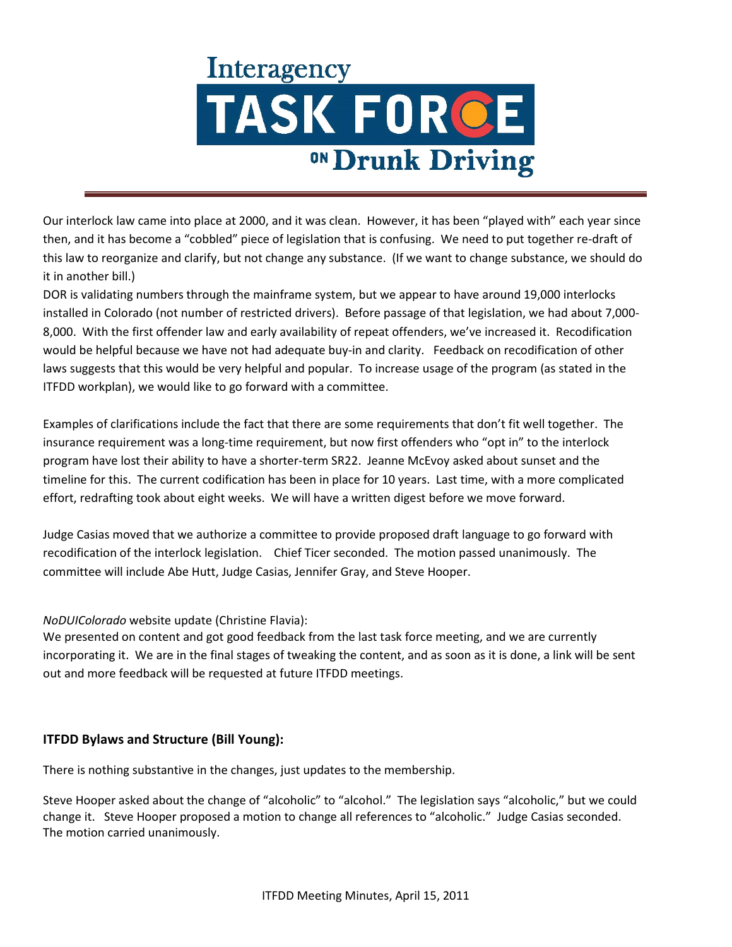Our interlock law came into place at 2000, and it was clean. However, it has been "played with" each year since then, and it has become a "cobbled" piece of legislation that is confusing. We need to put together re-draft of this law to reorganize and clarify, but not change any substance. (If we want to change substance, we should do it in another bill.)

DOR is validating numbers through the mainframe system, but we appear to have around 19,000 interlocks installed in Colorado (not number of restricted drivers). Before passage of that legislation, we had about 7,000- 8,000. With the first offender law and early availability of repeat offenders, we've increased it. Recodification would be helpful because we have not had adequate buy-in and clarity. Feedback on recodification of other laws suggests that this would be very helpful and popular. To increase usage of the program (as stated in the ITFDD workplan), we would like to go forward with a committee.

Examples of clarifications include the fact that there are some requirements that don't fit well together. The insurance requirement was a long-time requirement, but now first offenders who "opt in" to the interlock program have lost their ability to have a shorter-term SR22. Jeanne McEvoy asked about sunset and the timeline for this. The current codification has been in place for 10 years. Last time, with a more complicated effort, redrafting took about eight weeks. We will have a written digest before we move forward.

Judge Casias moved that we authorize a committee to provide proposed draft language to go forward with recodification of the interlock legislation. Chief Ticer seconded. The motion passed unanimously. The committee will include Abe Hutt, Judge Casias, Jennifer Gray, and Steve Hooper.

*NoDUIColorado* website update (Christine Flavia):

We presented on content and got good feedback from the last task force meeting, and we are currently incorporating it. We are in the final stages of tweaking the content, and as soon as it is done, a link will be sent out and more feedback will be requested at future ITFDD meetings.

## **ITFDD Bylaws and Structure (Bill Young):**

There is nothing substantive in the changes, just updates to the membership.

Steve Hooper asked about the change of "alcoholic" to "alcohol." The legislation says "alcoholic," but we could change it. Steve Hooper proposed a motion to change all references to "alcoholic." Judge Casias seconded. The motion carried unanimously.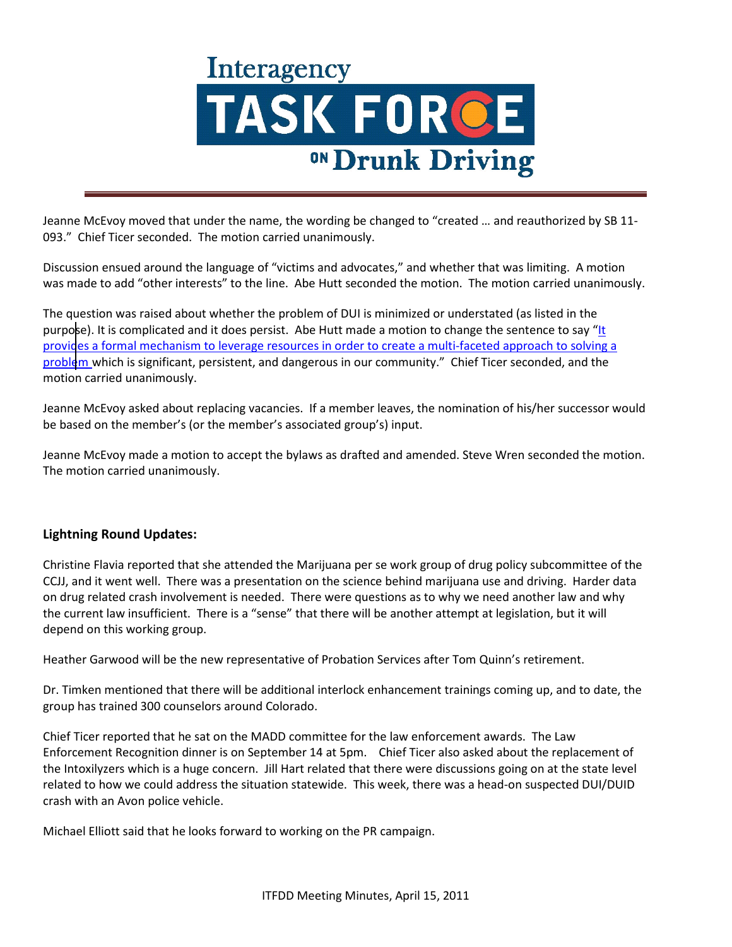Jeanne McEvoy moved that under the name, the wording be changed to "created … and reauthorized by SB 11- 093." Chief Ticer seconded. The motion carried unanimously.

Discussion ensued around the language of "victims and advocates," and whether that was limiting. A motion was made to add "other interests" to the line. Abe Hutt seconded the motion. The motion carried unanimously.

The question was raised about whether the problem of DUI is minimized or understated (as listed in the purpose). It is complicated and it does persist. Abe Hutt made a motion to change the sentence to say "It provides a formal mechanism to leverage resources in order to create a multi-faceted approach to solving a problem which is significant, persistent, and dangerous in our community." Chief Ticer seconded, and the motion carried unanimously.

Jeanne McEvoy asked about replacing vacancies. If a member leaves, the nomination of his/her successor would be based on the member's (or the member's associated group's) input.

Jeanne McEvoy made a motion to accept the bylaws as drafted and amended. Steve Wren seconded the motion. The motion carried unanimously.

#### **Lightning Round Updates:**

Christine Flavia reported that she attended the Marijuana per se work group of drug policy subcommittee of the CCJJ, and it went well. There was a presentation on the science behind marijuana use and driving. Harder data on drug related crash involvement is needed. There were questions as to why we need another law and why the current law insufficient. There is a "sense" that there will be another attempt at legislation, but it will depend on this working group.

Heather Garwood will be the new representative of Probation Services after Tom Quinn's retirement.

Dr. Timken mentioned that there will be additional interlock enhancement trainings coming up, and to date, the group has trained 300 counselors around Colorado.

Chief Ticer reported that he sat on the MADD committee for the law enforcement awards. The Law Enforcement Recognition dinner is on September 14 at 5pm. Chief Ticer also asked about the replacement of the Intoxilyzers which is a huge concern. Jill Hart related that there were discussions going on at the state level related to how we could address the situation statewide. This week, there was a head-on suspected DUI/DUID crash with an Avon police vehicle.

Michael Elliott said that he looks forward to working on the PR campaign.